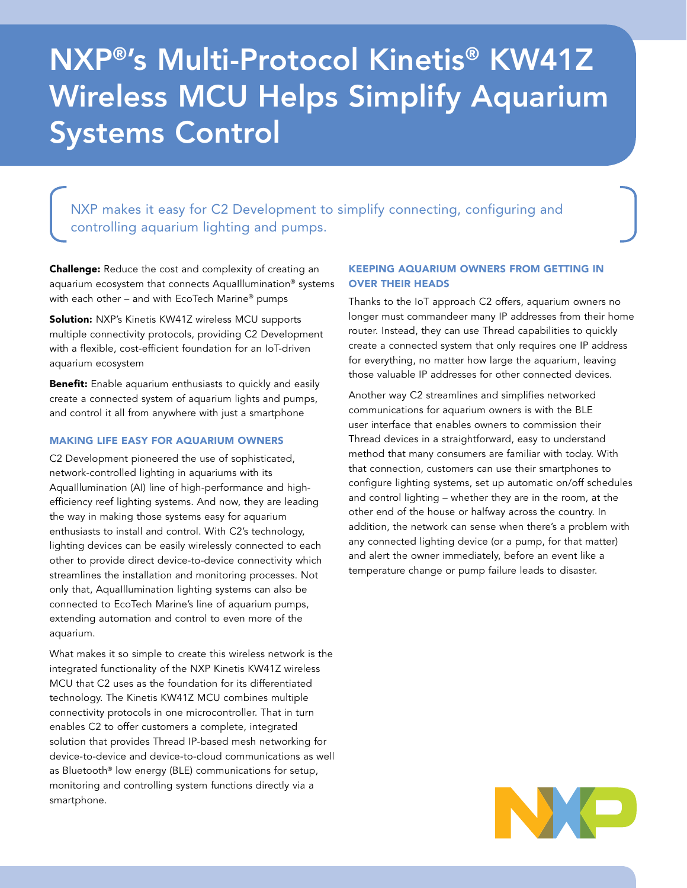# NXP®'s Multi-Protocol Kinetis® KW41Z Wireless MCU Helps Simplify Aquarium Systems Control

NXP makes it easy for C2 Development to simplify connecting, configuring and controlling aquarium lighting and pumps.

**Challenge:** Reduce the cost and complexity of creating an aquarium ecosystem that connects AquaIllumination® systems with each other – and with EcoTech Marine® pumps

Solution: NXP's Kinetis KW41Z wireless MCU supports multiple connectivity protocols, providing C2 Development with a flexible, cost-efficient foundation for an IoT-driven aquarium ecosystem

**Benefit:** Enable aquarium enthusiasts to quickly and easily create a connected system of aquarium lights and pumps, and control it all from anywhere with just a smartphone

#### MAKING LIFE EASY FOR AQUARIUM OWNERS

C2 Development pioneered the use of sophisticated, network-controlled lighting in aquariums with its AquaIllumination (AI) line of high-performance and highefficiency reef lighting systems. And now, they are leading the way in making those systems easy for aquarium enthusiasts to install and control. With C2's technology, lighting devices can be easily wirelessly connected to each other to provide direct device-to-device connectivity which streamlines the installation and monitoring processes. Not only that, AquaIllumination lighting systems can also be connected to EcoTech Marine's line of aquarium pumps, extending automation and control to even more of the aquarium.

What makes it so simple to create this wireless network is the integrated functionality of the NXP Kinetis KW41Z wireless MCU that C2 uses as the foundation for its differentiated technology. The Kinetis KW41Z MCU combines multiple connectivity protocols in one microcontroller. That in turn enables C2 to offer customers a complete, integrated solution that provides Thread IP-based mesh networking for device-to-device and device-to-cloud communications as well as Bluetooth® low energy (BLE) communications for setup, monitoring and controlling system functions directly via a smartphone.

## KEEPING AQUARIUM OWNERS FROM GETTING IN OVER THEIR HEADS

Thanks to the IoT approach C2 offers, aquarium owners no longer must commandeer many IP addresses from their home router. Instead, they can use Thread capabilities to quickly create a connected system that only requires one IP address for everything, no matter how large the aquarium, leaving those valuable IP addresses for other connected devices.

Another way C2 streamlines and simplifies networked communications for aquarium owners is with the BLE user interface that enables owners to commission their Thread devices in a straightforward, easy to understand method that many consumers are familiar with today. With that connection, customers can use their smartphones to configure lighting systems, set up automatic on/off schedules and control lighting – whether they are in the room, at the other end of the house or halfway across the country. In addition, the network can sense when there's a problem with any connected lighting device (or a pump, for that matter) and alert the owner immediately, before an event like a temperature change or pump failure leads to disaster.